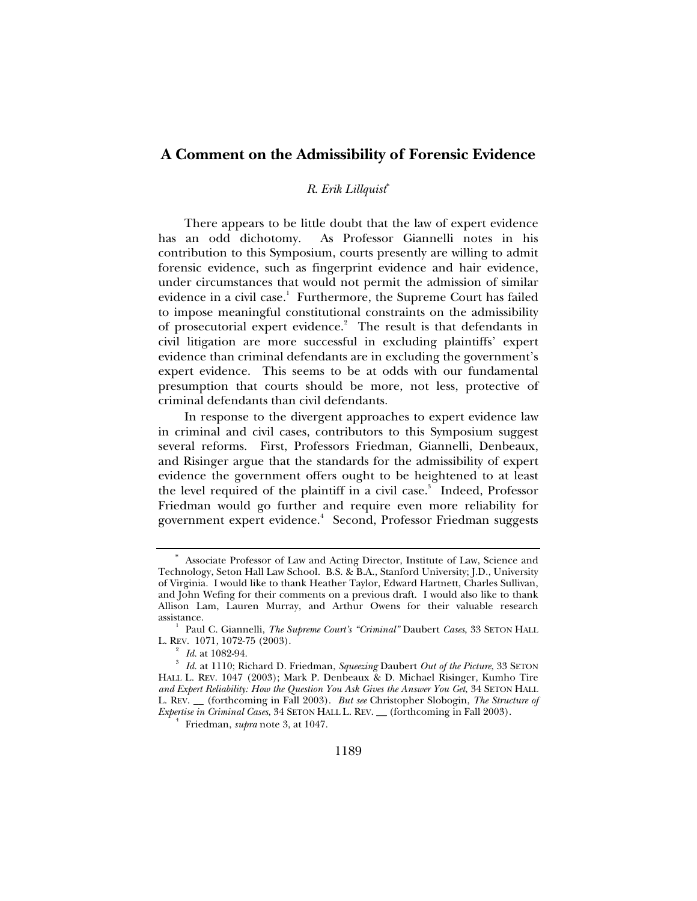# **A Comment on the Admissibility of Forensic Evidence**

### *R. Erik Lillquist*<sup>∗</sup>

There appears to be little doubt that the law of expert evidence has an odd dichotomy. As Professor Giannelli notes in his contribution to this Symposium, courts presently are willing to admit forensic evidence, such as fingerprint evidence and hair evidence, under circumstances that would not permit the admission of similar evidence in a civil case.<sup>1</sup> Furthermore, the Supreme Court has failed to impose meaningful constitutional constraints on the admissibility of prosecutorial expert evidence. $2$  The result is that defendants in civil litigation are more successful in excluding plaintiffs' expert evidence than criminal defendants are in excluding the government's expert evidence. This seems to be at odds with our fundamental presumption that courts should be more, not less, protective of criminal defendants than civil defendants.

In response to the divergent approaches to expert evidence law in criminal and civil cases, contributors to this Symposium suggest several reforms. First, Professors Friedman, Giannelli, Denbeaux, and Risinger argue that the standards for the admissibility of expert evidence the government offers ought to be heightened to at least the level required of the plaintiff in a civil case.<sup>3</sup> Indeed, Professor Friedman would go further and require even more reliability for government expert evidence.<sup>4</sup> Second, Professor Friedman suggests

<sup>∗</sup> Associate Professor of Law and Acting Director, Institute of Law, Science and Technology, Seton Hall Law School. B.S. & B.A., Stanford University; J.D., University of Virginia. I would like to thank Heather Taylor, Edward Hartnett, Charles Sullivan, and John Wefing for their comments on a previous draft. I would also like to thank Allison Lam, Lauren Murray, and Arthur Owens for their valuable research assistance. 1

Paul C. Giannelli, *The Supreme Court's "Criminal"* Daubert *Cases*, 33 SETON HALL L. REV. 1071, 1072-75 (2003).<br> $\frac{2}{1}$  Id. at 1082-94.

*Id.* at 1082-94. 3  *Id.* at 1110; Richard D. Friedman, *Squeezing* Daubert *Out of the Picture*, 33 SETON HALL L. REV. 1047 (2003); Mark P. Denbeaux & D. Michael Risinger, Kumho Tire *and Expert Reliability: How the Question You Ask Gives the Answer You Get*, 34 SETON HALL L. REV. \_\_ (forthcoming in Fall 2003). *But see* Christopher Slobogin, *The Structure of Expertise in Criminal Cases*, 34 SETON HALL L. REV. \_\_ (forthcoming in Fall 2003). 4

 $<sup>4</sup>$  Friedman, *supra* note 3, at 1047.</sup>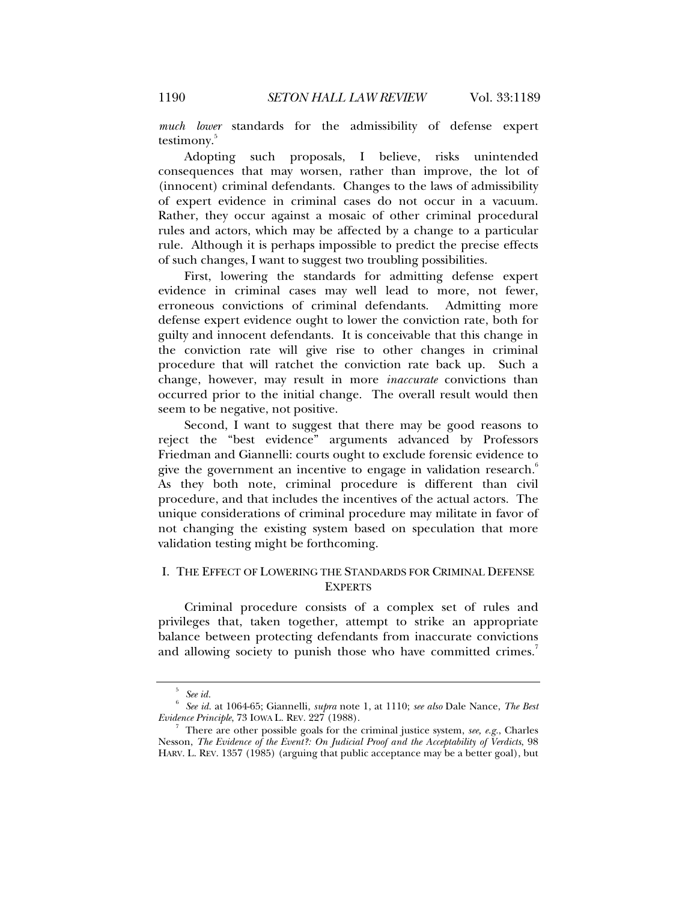*much lower* standards for the admissibility of defense expert testimony.<sup>5</sup>

Adopting such proposals, I believe, risks unintended consequences that may worsen, rather than improve, the lot of (innocent) criminal defendants. Changes to the laws of admissibility of expert evidence in criminal cases do not occur in a vacuum. Rather, they occur against a mosaic of other criminal procedural rules and actors, which may be affected by a change to a particular rule. Although it is perhaps impossible to predict the precise effects of such changes, I want to suggest two troubling possibilities.

First, lowering the standards for admitting defense expert evidence in criminal cases may well lead to more, not fewer, erroneous convictions of criminal defendants. Admitting more defense expert evidence ought to lower the conviction rate, both for guilty and innocent defendants. It is conceivable that this change in the conviction rate will give rise to other changes in criminal procedure that will ratchet the conviction rate back up. Such a change, however, may result in more *inaccurate* convictions than occurred prior to the initial change. The overall result would then seem to be negative, not positive.

Second, I want to suggest that there may be good reasons to reject the "best evidence" arguments advanced by Professors Friedman and Giannelli: courts ought to exclude forensic evidence to give the government an incentive to engage in validation research. $^6$ As they both note, criminal procedure is different than civil procedure, and that includes the incentives of the actual actors. The unique considerations of criminal procedure may militate in favor of not changing the existing system based on speculation that more validation testing might be forthcoming.

## I. THE EFFECT OF LOWERING THE STANDARDS FOR CRIMINAL DEFENSE **EXPERTS**

Criminal procedure consists of a complex set of rules and privileges that, taken together, attempt to strike an appropriate balance between protecting defendants from inaccurate convictions and allowing society to punish those who have committed crimes. $7$ 

<sup>5</sup>

*See id.* 6  *See id.* at 1064-65; Giannelli, *supra* note 1, at 1110; *see also* Dale Nance, *The Best Evidence Principle*, 73 IOWA L. REV. 227 (1988).

There are other possible goals for the criminal justice system, *see, e.g.*, Charles Nesson, *The Evidence of the Event?: On Judicial Proof and the Acceptability of Verdicts*, 98 HARV. L. REV. 1357 (1985) (arguing that public acceptance may be a better goal), but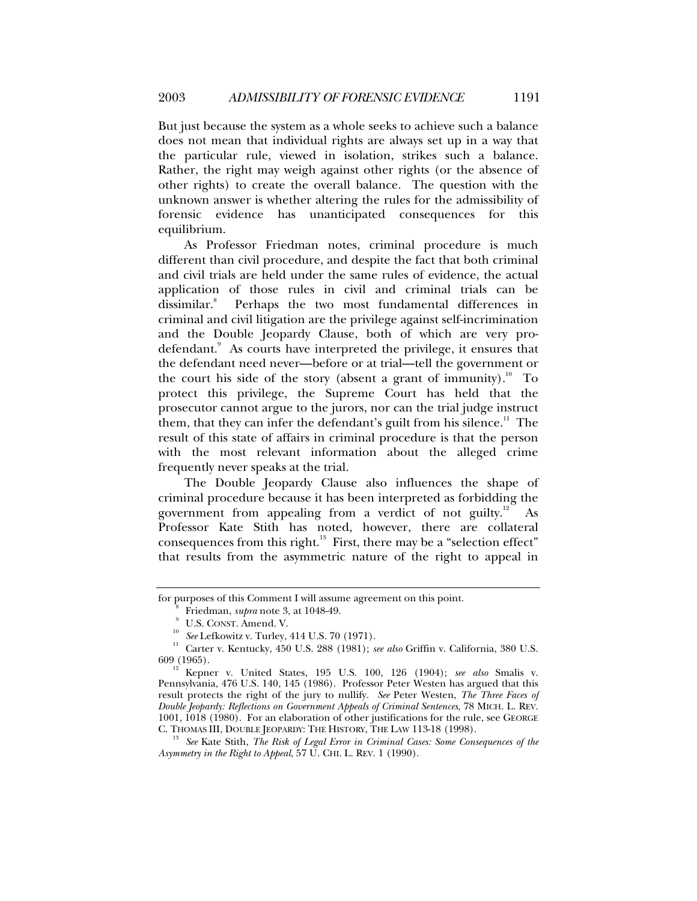But just because the system as a whole seeks to achieve such a balance does not mean that individual rights are always set up in a way that the particular rule, viewed in isolation, strikes such a balance. Rather, the right may weigh against other rights (or the absence of other rights) to create the overall balance. The question with the unknown answer is whether altering the rules for the admissibility of forensic evidence has unanticipated consequences for this equilibrium.

As Professor Friedman notes, criminal procedure is much different than civil procedure, and despite the fact that both criminal and civil trials are held under the same rules of evidence, the actual application of those rules in civil and criminal trials can be dissimilar.<sup>8</sup> Perhaps the two most fundamental differences in criminal and civil litigation are the privilege against self-incrimination and the Double Jeopardy Clause, both of which are very prodefendant.<sup>9</sup> As courts have interpreted the privilege, it ensures that the defendant need never—before or at trial—tell the government or the court his side of the story (absent a grant of immunity).<sup>10</sup> To protect this privilege, the Supreme Court has held that the prosecutor cannot argue to the jurors, nor can the trial judge instruct them, that they can infer the defendant's guilt from his silence. $11$  The result of this state of affairs in criminal procedure is that the person with the most relevant information about the alleged crime frequently never speaks at the trial.

The Double Jeopardy Clause also influences the shape of criminal procedure because it has been interpreted as forbidding the government from appealing from a verdict of not guilty.<sup>12</sup> As Professor Kate Stith has noted, however, there are collateral consequences from this right. $13$  First, there may be a "selection effect" that results from the asymmetric nature of the right to appeal in

for purposes of this Comment I will assume agreement on this point.

Friedman, *supra* note 3, at 1048-49.<br><sup>9</sup> U.S. CONST. Amend. V.

 $^{10}$   $\,$  See Lefkowitz v. Turley, 414 U.S. 70 (1971).  $^{11}$  Carter v. Kentucky, 450 U.S. 288 (1981); *see also* Griffin v. California, 380 U.S. 609 (1965). 12 Kepner v. United States, 195 U.S. 100, 126 (1904); *see also* Smalis v.

Pennsylvania, 476 U.S. 140, 145 (1986). Professor Peter Westen has argued that this result protects the right of the jury to nullify. *See* Peter Westen, *The Three Faces of Double Jeopardy: Reflections on Government Appeals of Criminal Sentences*, 78 MICH. L. REV. 1001, 1018 (1980). For an elaboration of other justifications for the rule, see GEORGE C. THOMAS III, DOUBLE JEOPARDY: THE HISTORY, THE LAW 113-18 (1998). 13 *See* Kate Stith, *The Risk of Legal Error in Criminal Cases: Some Consequences of the* 

*Asymmetry in the Right to Appeal*, 57 U. CHI. L. REV. 1 (1990).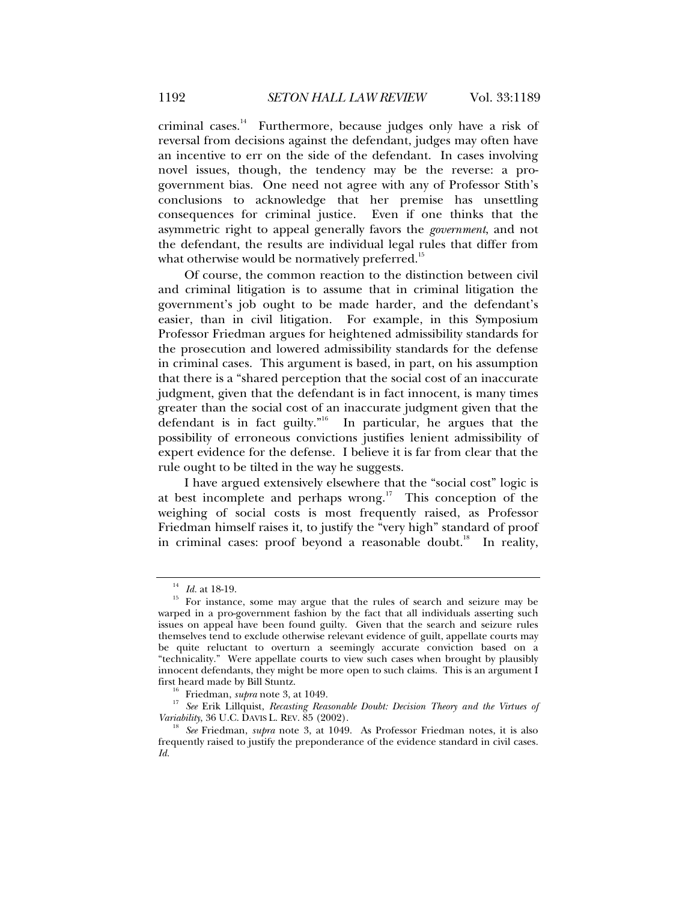criminal cases. $14$  Furthermore, because judges only have a risk of reversal from decisions against the defendant, judges may often have an incentive to err on the side of the defendant. In cases involving novel issues, though, the tendency may be the reverse: a progovernment bias. One need not agree with any of Professor Stith's conclusions to acknowledge that her premise has unsettling consequences for criminal justice. Even if one thinks that the asymmetric right to appeal generally favors the *government*, and not the defendant, the results are individual legal rules that differ from what otherwise would be normatively preferred.<sup>15</sup>

Of course, the common reaction to the distinction between civil and criminal litigation is to assume that in criminal litigation the government's job ought to be made harder, and the defendant's easier, than in civil litigation. For example, in this Symposium Professor Friedman argues for heightened admissibility standards for the prosecution and lowered admissibility standards for the defense in criminal cases. This argument is based, in part, on his assumption that there is a "shared perception that the social cost of an inaccurate judgment, given that the defendant is in fact innocent, is many times greater than the social cost of an inaccurate judgment given that the defendant is in fact guilty."16 In particular, he argues that the possibility of erroneous convictions justifies lenient admissibility of expert evidence for the defense. I believe it is far from clear that the rule ought to be tilted in the way he suggests.

I have argued extensively elsewhere that the "social cost" logic is at best incomplete and perhaps wrong.<sup>17</sup> This conception of the weighing of social costs is most frequently raised, as Professor Friedman himself raises it, to justify the "very high" standard of proof in criminal cases: proof beyond a reasonable doubt.<sup>18</sup> In reality,

 $14$  *Id.* at 18-19.<br><sup>15</sup> For instance, some may argue that the rules of search and seizure may be warped in a pro-government fashion by the fact that all individuals asserting such issues on appeal have been found guilty. Given that the search and seizure rules themselves tend to exclude otherwise relevant evidence of guilt, appellate courts may be quite reluctant to overturn a seemingly accurate conviction based on a "technicality." Were appellate courts to view such cases when brought by plausibly innocent defendants, they might be more open to such claims. This is an argument I

<sup>&</sup>lt;sup>16</sup> Friedman, *supra* note 3, at 1049.<br><sup>17</sup> See Erik Lillquist, *Recasting Reasonable Doubt: Decision Theory and the Virtues of Variability, 36 U.C. DAVIS L. REV. 85 (2002).* 

<sup>&</sup>lt;sup>8</sup> See Friedman, *supra* note 3, at 1049. As Professor Friedman notes, it is also frequently raised to justify the preponderance of the evidence standard in civil cases. *Id.*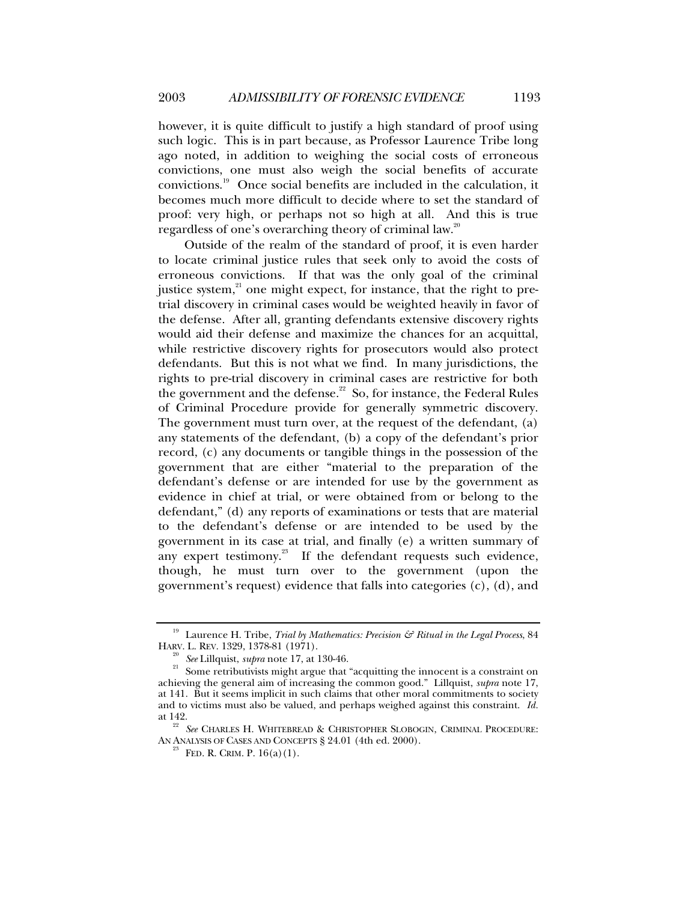however, it is quite difficult to justify a high standard of proof using such logic. This is in part because, as Professor Laurence Tribe long ago noted, in addition to weighing the social costs of erroneous convictions, one must also weigh the social benefits of accurate convictions.19 Once social benefits are included in the calculation, it becomes much more difficult to decide where to set the standard of proof: very high, or perhaps not so high at all. And this is true regardless of one's overarching theory of criminal law.<sup>20</sup>

Outside of the realm of the standard of proof, it is even harder to locate criminal justice rules that seek only to avoid the costs of erroneous convictions. If that was the only goal of the criminal justice system,<sup>21</sup> one might expect, for instance, that the right to pretrial discovery in criminal cases would be weighted heavily in favor of the defense. After all, granting defendants extensive discovery rights would aid their defense and maximize the chances for an acquittal, while restrictive discovery rights for prosecutors would also protect defendants. But this is not what we find. In many jurisdictions, the rights to pre-trial discovery in criminal cases are restrictive for both the government and the defense.<sup>22</sup> So, for instance, the Federal Rules of Criminal Procedure provide for generally symmetric discovery. The government must turn over, at the request of the defendant, (a) any statements of the defendant, (b) a copy of the defendant's prior record, (c) any documents or tangible things in the possession of the government that are either "material to the preparation of the defendant's defense or are intended for use by the government as evidence in chief at trial, or were obtained from or belong to the defendant," (d) any reports of examinations or tests that are material to the defendant's defense or are intended to be used by the government in its case at trial, and finally (e) a written summary of any expert testimony.<sup>23</sup> If the defendant requests such evidence, though, he must turn over to the government (upon the government's request) evidence that falls into categories (c), (d), and

<sup>&</sup>lt;sup>19</sup> Laurence H. Tribe, *Trial by Mathematics: Precision & Ritual in the Legal Process*, 84 HARV. L. REV. 1329, 1378-81 (1971).

<sup>&</sup>lt;sup>20</sup> See Lillquist, *supra* note 17, at 130-46.<br><sup>21</sup> Some retributivists might argue that "acquitting the innocent is a constraint on achieving the general aim of increasing the common good." Lillquist, *supra* note 17, at 141. But it seems implicit in such claims that other moral commitments to society and to victims must also be valued, and perhaps weighed against this constraint. *Id.* at 142. 22 *See* CHARLES H. WHITEBREAD & CHRISTOPHER SLOBOGIN, CRIMINAL PROCEDURE:

AN ANALYSIS OF CASES AND CONCEPTS  $\S 24.01$  (4th ed. 2000).<br><sup>23</sup> FED. R. CRIM. P. 16(a)(1).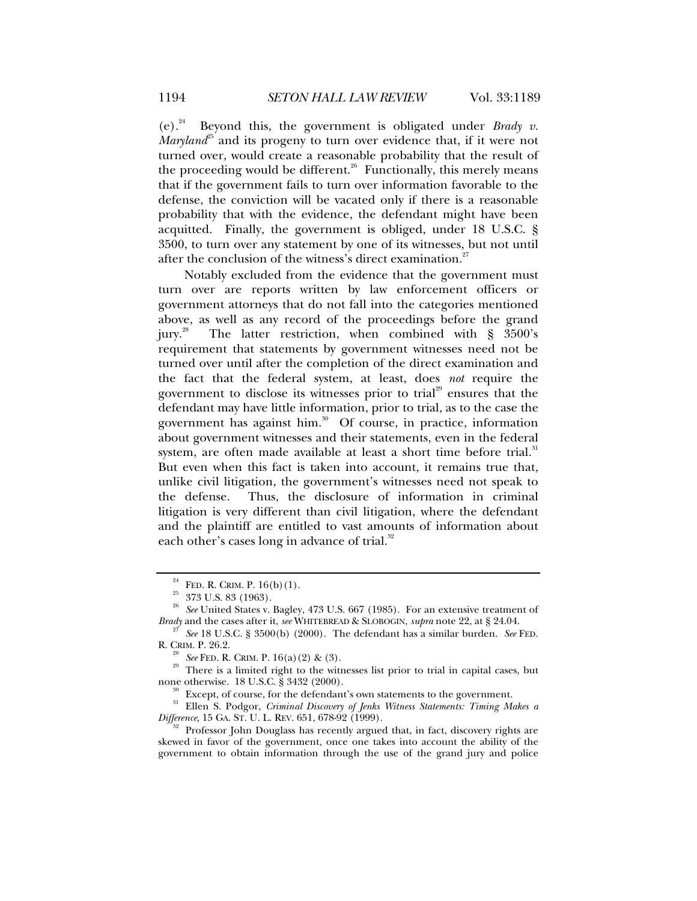(e).<sup>24</sup> Beyond this, the government is obligated under *Brady v*. *Maryland*<sup>25</sup> and its progeny to turn over evidence that, if it were not turned over, would create a reasonable probability that the result of the proceeding would be different.<sup>26</sup> Functionally, this merely means that if the government fails to turn over information favorable to the defense, the conviction will be vacated only if there is a reasonable probability that with the evidence, the defendant might have been acquitted. Finally, the government is obliged, under 18 U.S.C. § 3500, to turn over any statement by one of its witnesses, but not until after the conclusion of the witness's direct examination.<sup>27</sup>

Notably excluded from the evidence that the government must turn over are reports written by law enforcement officers or government attorneys that do not fall into the categories mentioned above, as well as any record of the proceedings before the grand jury.<sup>28</sup> The latter restriction, when combined with  $\S$  3500's requirement that statements by government witnesses need not be turned over until after the completion of the direct examination and the fact that the federal system, at least, does *not* require the government to disclose its witnesses prior to trial<sup>29</sup> ensures that the defendant may have little information, prior to trial, as to the case the government has against him.<sup>30</sup> Of course, in practice, information about government witnesses and their statements, even in the federal system, are often made available at least a short time before trial. $31$ But even when this fact is taken into account, it remains true that, unlike civil litigation, the government's witnesses need not speak to the defense. Thus, the disclosure of information in criminal litigation is very different than civil litigation, where the defendant and the plaintiff are entitled to vast amounts of information about each other's cases long in advance of trial.<sup>32</sup>

<sup>&</sup>lt;sup>24</sup> FED. R. CRIM. P.  $16(b)(1)$ .<br><sup>25</sup> 373 U.S. 83 (1963).

<sup>&</sup>lt;sup>26</sup> See United States v. Bagley, 473 U.S. 667 (1985). For an extensive treatment of *Brady* and the cases after it, *see* WHITEBREAD & SLOBOGIN, *supra* note 22, at § 24.04.

<sup>&</sup>lt;sup>27</sup> See 18 U.S.C. § 3500(b) (2000). The defendant has a similar burden. *See* FED. **R.** CRIM. P. 26.2.

<sup>&</sup>lt;sup>28</sup> *See* FED. R. CRIM. P. 16(a)(2) & (3).<br><sup>29</sup> There is a limited right to the witnesses list prior to trial in capital cases, but none otherwise. 18 U.S.C. § 3432 (2000).

Except, of course, for the defendant's own statements to the government.

<sup>&</sup>lt;sup>31</sup> Ellen S. Podgor, *Criminal Discovery of Jenks Witness Statements: Timing Makes a Difference*, 15 GA. ST. U. L. REV. 651, 678-92 (1999).

Professor John Douglass has recently argued that, in fact, discovery rights are skewed in favor of the government, once one takes into account the ability of the government to obtain information through the use of the grand jury and police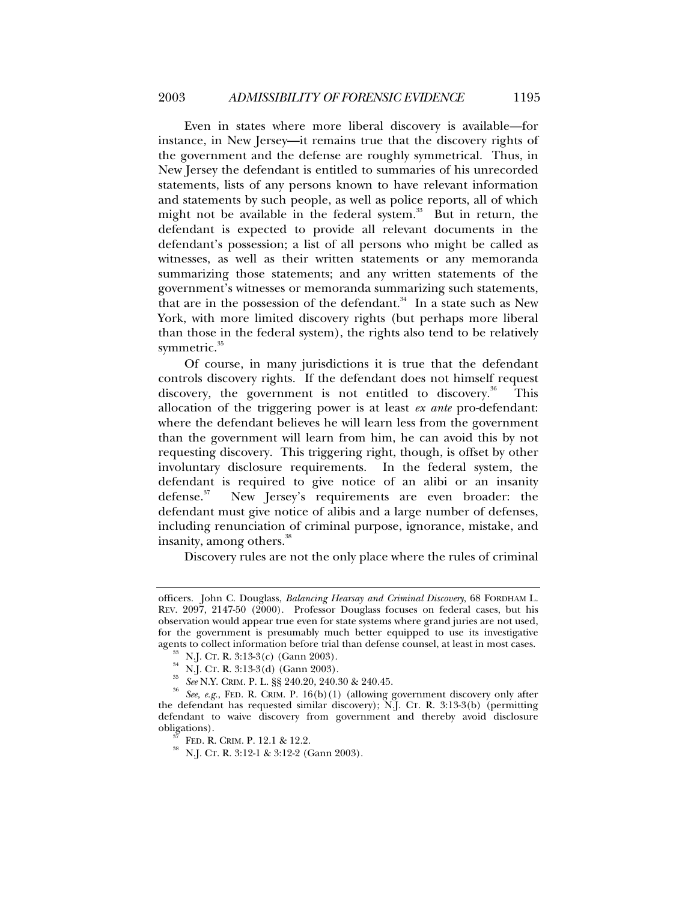Even in states where more liberal discovery is available—for instance, in New Jersey—it remains true that the discovery rights of the government and the defense are roughly symmetrical. Thus, in New Jersey the defendant is entitled to summaries of his unrecorded statements, lists of any persons known to have relevant information and statements by such people, as well as police reports, all of which might not be available in the federal system. $33$  But in return, the defendant is expected to provide all relevant documents in the defendant's possession; a list of all persons who might be called as witnesses, as well as their written statements or any memoranda summarizing those statements; and any written statements of the government's witnesses or memoranda summarizing such statements, that are in the possession of the defendant. $34$  In a state such as New York, with more limited discovery rights (but perhaps more liberal than those in the federal system), the rights also tend to be relatively symmetric.<sup>35</sup>

Of course, in many jurisdictions it is true that the defendant controls discovery rights. If the defendant does not himself request discovery, the government is not entitled to discovery.<sup>36</sup> This allocation of the triggering power is at least *ex ante* pro-defendant: where the defendant believes he will learn less from the government than the government will learn from him, he can avoid this by not requesting discovery. This triggering right, though, is offset by other involuntary disclosure requirements. In the federal system, the defendant is required to give notice of an alibi or an insanity defense.<sup>37</sup> New Jersey's requirements are even broader: the defendant must give notice of alibis and a large number of defenses, including renunciation of criminal purpose, ignorance, mistake, and insanity, among others.<sup>38</sup>

Discovery rules are not the only place where the rules of criminal

officers. John C. Douglass, *Balancing Hearsay and Criminal Discovery*, 68 FORDHAM L. REV. 2097, 2147-50 (2000). Professor Douglass focuses on federal cases, but his observation would appear true even for state systems where grand juries are not used, for the government is presumably much better equipped to use its investigative agents to collect information before trial than defense counsel, at least in most cases.

<sup>&</sup>lt;sup>33</sup> N.J. CT. R. 3:13-3(c) (Gann 2003).<br><sup>34</sup> N.J. CT. R. 3:13-3(d) (Gann 2003).<br><sup>35</sup> *See* N.Y. CRIM. P. L. §§ 240.20, 240.30 & 240.45.<br><sup>36</sup> *See, e.g.*, FED. R. CRIM. P. 16(b)(1) (allowing government discovery only after the defendant has requested similar discovery); N.J. CT. R. 3:13-3(b) (permitting defendant to waive discovery from government and thereby avoid disclosure obligations).<br><sup>37</sup> FED. R. CRIM. P. 12.1 & 12.2.<br><sup>38</sup> N.J. CT. R. 3:12-1 & 3:12-2 (Gann 2003).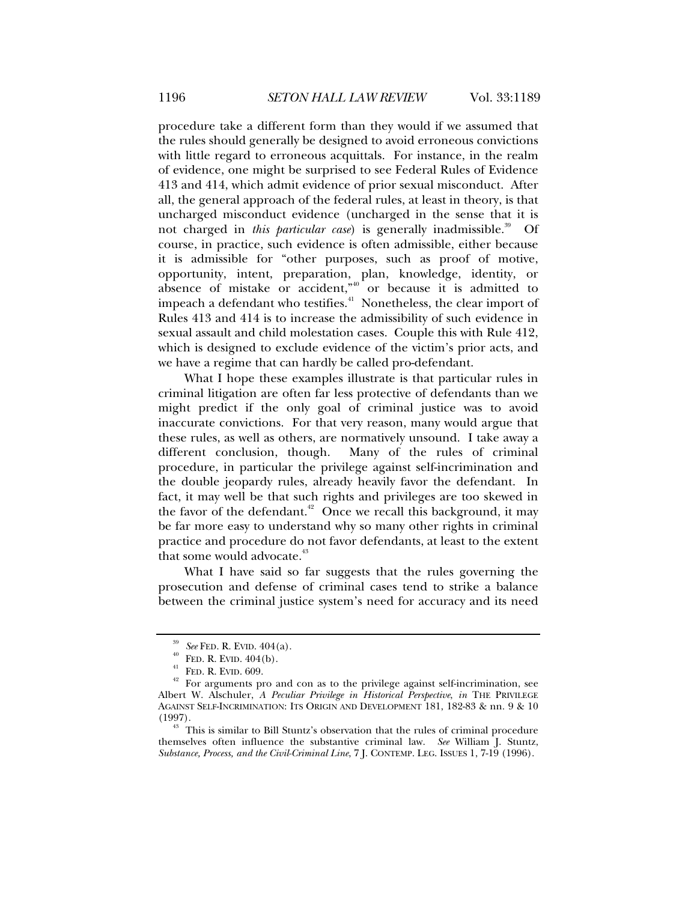procedure take a different form than they would if we assumed that the rules should generally be designed to avoid erroneous convictions with little regard to erroneous acquittals. For instance, in the realm of evidence, one might be surprised to see Federal Rules of Evidence 413 and 414, which admit evidence of prior sexual misconduct. After all, the general approach of the federal rules, at least in theory, is that uncharged misconduct evidence (uncharged in the sense that it is not charged in *this particular case*) is generally inadmissible.<sup>39</sup> Of course, in practice, such evidence is often admissible, either because it is admissible for "other purposes, such as proof of motive, opportunity, intent, preparation, plan, knowledge, identity, or absence of mistake or accident, $n_{\text{40}}$  or because it is admitted to impeach a defendant who testifies.<sup>41</sup> Nonetheless, the clear import of Rules 413 and 414 is to increase the admissibility of such evidence in sexual assault and child molestation cases. Couple this with Rule 412, which is designed to exclude evidence of the victim's prior acts, and we have a regime that can hardly be called pro-defendant.

What I hope these examples illustrate is that particular rules in criminal litigation are often far less protective of defendants than we might predict if the only goal of criminal justice was to avoid inaccurate convictions. For that very reason, many would argue that these rules, as well as others, are normatively unsound. I take away a different conclusion, though. Many of the rules of criminal procedure, in particular the privilege against self-incrimination and the double jeopardy rules, already heavily favor the defendant. In fact, it may well be that such rights and privileges are too skewed in the favor of the defendant.<sup>42</sup> Once we recall this background, it may be far more easy to understand why so many other rights in criminal practice and procedure do not favor defendants, at least to the extent that some would advocate.<sup>43</sup>

What I have said so far suggests that the rules governing the prosecution and defense of criminal cases tend to strike a balance between the criminal justice system's need for accuracy and its need

<sup>&</sup>lt;sup>39</sup> See FED. R. EVID. 404(a).<br><sup>40</sup> FED. R. EVID. 404(b).<br><sup>41</sup> FED. R. EVID. 609.<br><sup>42</sup> For arguments pro and con as to the privilege against self-incrimination, see Albert W. Alschuler, *A Peculiar Privilege in Historical Perspective*, *in* THE PRIVILEGE AGAINST SELF-INCRIMINATION: ITS ORIGIN AND DEVELOPMENT 181, 182-83 & nn. 9 & 10 (1997).

 $43$  This is similar to Bill Stuntz's observation that the rules of criminal procedure themselves often influence the substantive criminal law. *See* William J. Stuntz, *Substance, Process, and the Civil-Criminal Line*, 7 J. CONTEMP. LEG. ISSUES 1, 7-19 (1996).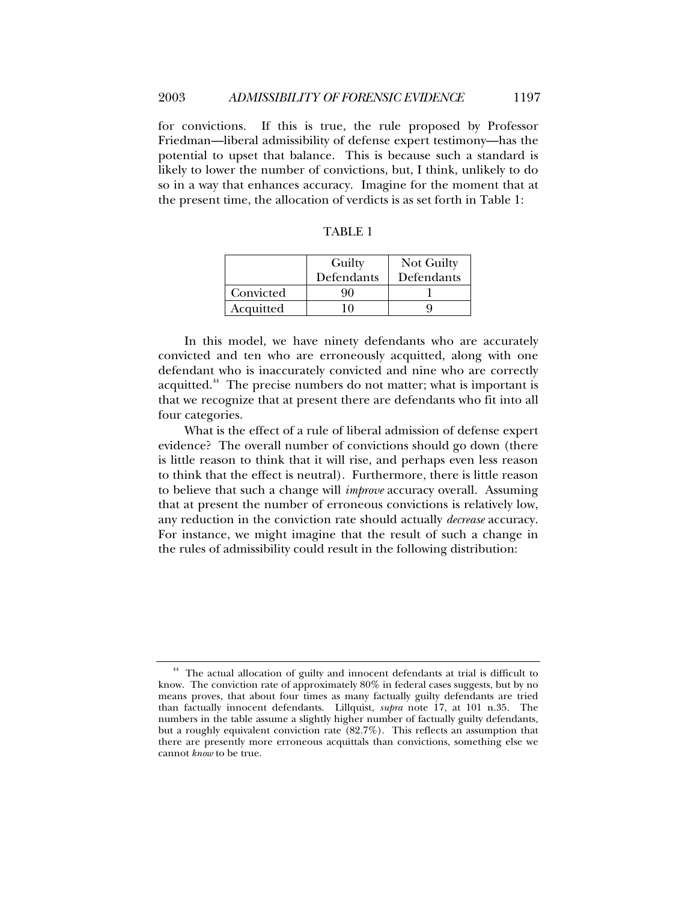for convictions. If this is true, the rule proposed by Professor Friedman—liberal admissibility of defense expert testimony—has the potential to upset that balance. This is because such a standard is likely to lower the number of convictions, but, I think, unlikely to do so in a way that enhances accuracy. Imagine for the moment that at the present time, the allocation of verdicts is as set forth in Table 1:

|           | Guilty<br>Defendants | Not Guilty<br>Defendants |
|-----------|----------------------|--------------------------|
| Convicted | 9O                   |                          |
| Acquitted | $\theta$             |                          |

TABLE 1

In this model, we have ninety defendants who are accurately convicted and ten who are erroneously acquitted, along with one defendant who is inaccurately convicted and nine who are correctly acquitted.<sup>44</sup> The precise numbers do not matter; what is important is that we recognize that at present there are defendants who fit into all four categories.

What is the effect of a rule of liberal admission of defense expert evidence? The overall number of convictions should go down (there is little reason to think that it will rise, and perhaps even less reason to think that the effect is neutral). Furthermore, there is little reason to believe that such a change will *improve* accuracy overall. Assuming that at present the number of erroneous convictions is relatively low, any reduction in the conviction rate should actually *decrease* accuracy. For instance, we might imagine that the result of such a change in the rules of admissibility could result in the following distribution:

<sup>&</sup>lt;sup>44</sup> The actual allocation of guilty and innocent defendants at trial is difficult to know. The conviction rate of approximately 80% in federal cases suggests, but by no means proves, that about four times as many factually guilty defendants are tried than factually innocent defendants. Lillquist, *supra* note 17, at 101 n.35. The numbers in the table assume a slightly higher number of factually guilty defendants, but a roughly equivalent conviction rate (82.7%). This reflects an assumption that there are presently more erroneous acquittals than convictions, something else we cannot *know* to be true.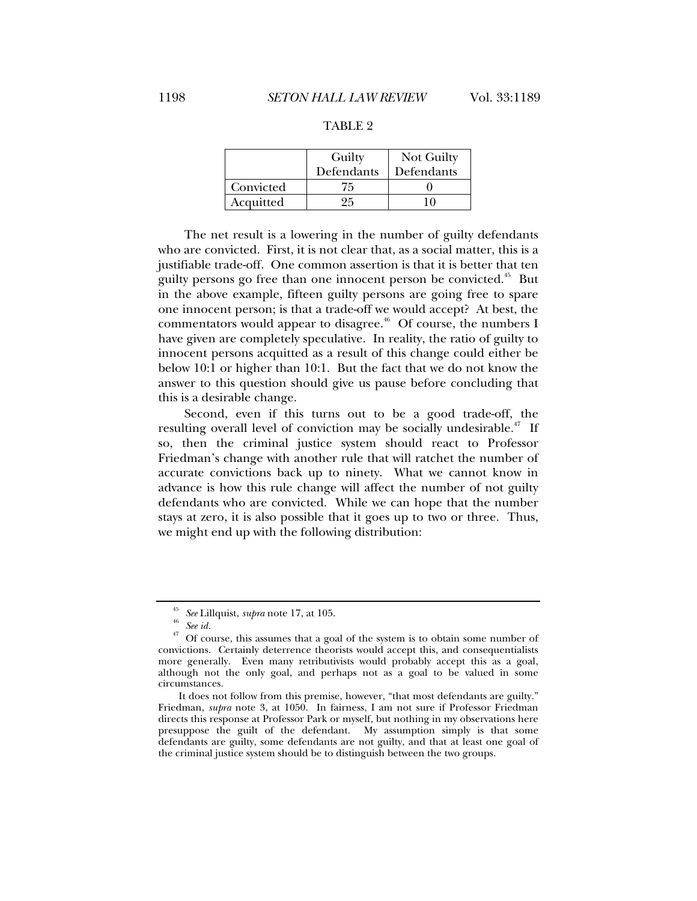|           | Guilty     | Not Guilty |
|-----------|------------|------------|
|           | Defendants | Defendants |
| Convicted | 75         |            |
| Acquitted | ッら         |            |

### TABLE 2

The net result is a lowering in the number of guilty defendants who are convicted. First, it is not clear that, as a social matter, this is a justifiable trade-off. One common assertion is that it is better that ten guilty persons go free than one innocent person be convicted.<sup>45</sup> But in the above example, fifteen guilty persons are going free to spare one innocent person; is that a trade-off we would accept? At best, the commentators would appear to disagree.<sup>46</sup> Of course, the numbers I have given are completely speculative. In reality, the ratio of guilty to innocent persons acquitted as a result of this change could either be below 10:1 or higher than 10:1. But the fact that we do not know the answer to this question should give us pause before concluding that this is a desirable change.

Second, even if this turns out to be a good trade-off, the resulting overall level of conviction may be socially undesirable.<sup> $47$ </sup> If so, then the criminal justice system should react to Professor Friedman's change with another rule that will ratchet the number of accurate convictions back up to ninety. What we cannot know in advance is how this rule change will affect the number of not guilty defendants who are convicted. While we can hope that the number stays at zero, it is also possible that it goes up to two or three. Thus, we might end up with the following distribution:

<sup>&</sup>lt;sup>45</sup> See Lillquist, *supra* note 17, at 105.<br><sup>46</sup> See id.<br><sup>47</sup> Of assume this assumes that a me

<sup>47</sup> Of course, this assumes that a goal of the system is to obtain some number of convictions. Certainly deterrence theorists would accept this, and consequentialists more generally. Even many retributivists would probably accept this as a goal, although not the only goal, and perhaps not as a goal to be valued in some circumstances.

It does not follow from this premise, however, "that most defendants are guilty." Friedman, *supra* note 3, at 1050. In fairness, I am not sure if Professor Friedman directs this response at Professor Park or myself, but nothing in my observations here presuppose the guilt of the defendant. My assumption simply is that some defendants are guilty, some defendants are not guilty, and that at least one goal of the criminal justice system should be to distinguish between the two groups.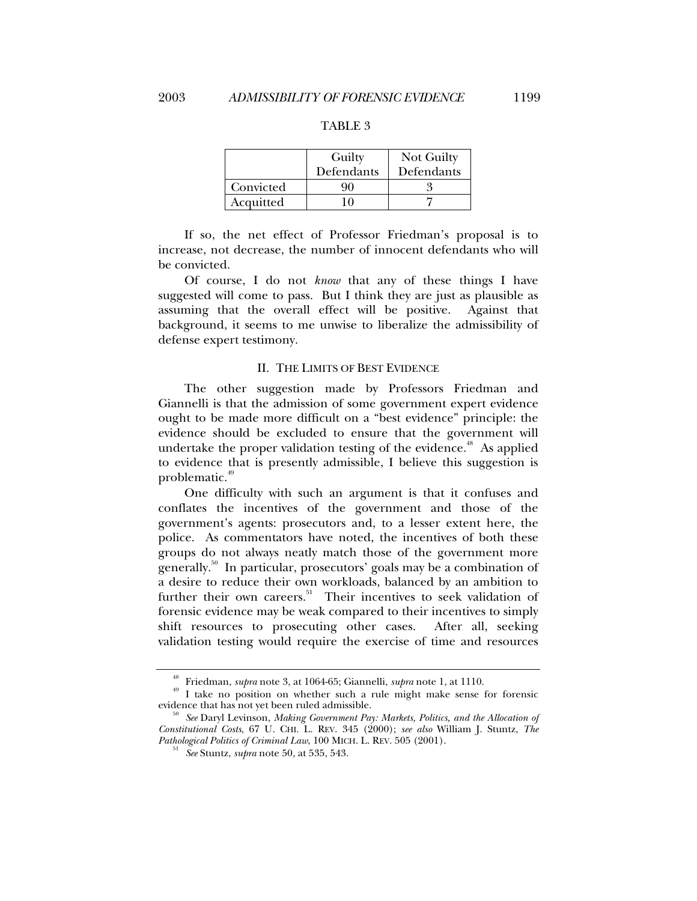|           | Guilty     | Not Guilty |
|-----------|------------|------------|
|           | Defendants | Defendants |
| Convicted | an         |            |

#### TABLE 3

If so, the net effect of Professor Friedman's proposal is to increase, not decrease, the number of innocent defendants who will be convicted.

Acquitted 10 7

Of course, I do not *know* that any of these things I have suggested will come to pass. But I think they are just as plausible as assuming that the overall effect will be positive. Against that background, it seems to me unwise to liberalize the admissibility of defense expert testimony.

#### II. THE LIMITS OF BEST EVIDENCE

The other suggestion made by Professors Friedman and Giannelli is that the admission of some government expert evidence ought to be made more difficult on a "best evidence" principle: the evidence should be excluded to ensure that the government will undertake the proper validation testing of the evidence.<sup>48</sup> As applied to evidence that is presently admissible, I believe this suggestion is problematic.<sup>49</sup>

One difficulty with such an argument is that it confuses and conflates the incentives of the government and those of the government's agents: prosecutors and, to a lesser extent here, the police. As commentators have noted, the incentives of both these groups do not always neatly match those of the government more generally.50 In particular, prosecutors' goals may be a combination of a desire to reduce their own workloads, balanced by an ambition to further their own careers.<sup>51</sup> Their incentives to seek validation of forensic evidence may be weak compared to their incentives to simply shift resources to prosecuting other cases. After all, seeking validation testing would require the exercise of time and resources

<sup>&</sup>lt;sup>48</sup> Friedman, *supra* note 3, at 1064-65; Giannelli, *supra* note 1, at 1110.<br><sup>49</sup> I take no position on whether such a rule might make sense for forensic evidence that has not yet been ruled admissible.

evidence that has not yet been ruled admissible. 50 *See* Daryl Levinson, *Making Government Pay: Markets, Politics, and the Allocation of Constitutional Costs*, 67 U. CHI. L. REV. 345 (2000); *see also* William J. Stuntz, *The Pathological Politics of Criminal Law*, 100 MICH. L. REV. 505 (2001). 51 *See* Stuntz, *supra* note 50, at 535, 543.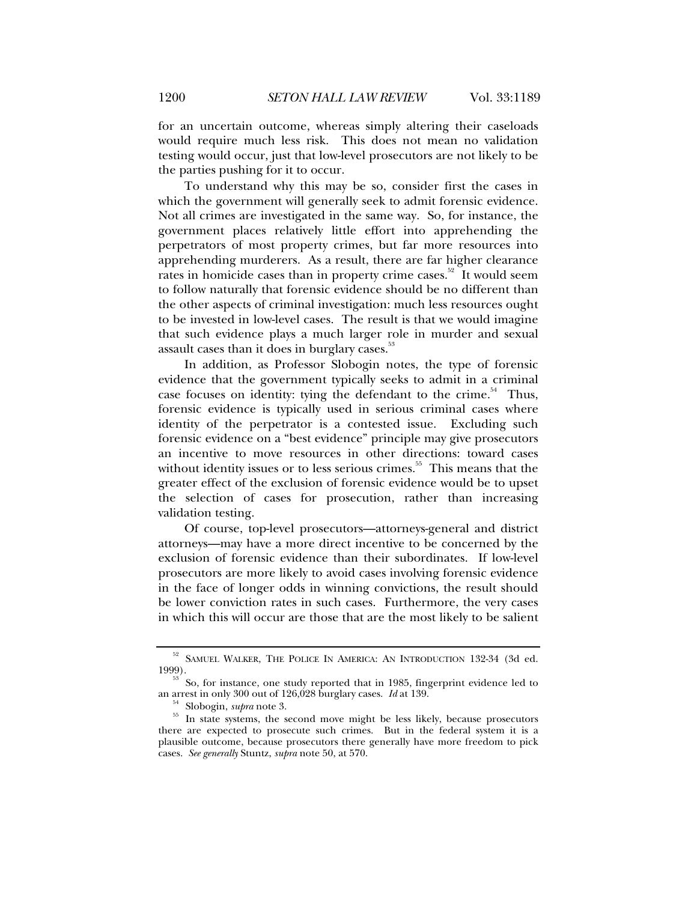for an uncertain outcome, whereas simply altering their caseloads would require much less risk. This does not mean no validation testing would occur, just that low-level prosecutors are not likely to be the parties pushing for it to occur.

To understand why this may be so, consider first the cases in which the government will generally seek to admit forensic evidence. Not all crimes are investigated in the same way. So, for instance, the government places relatively little effort into apprehending the perpetrators of most property crimes, but far more resources into apprehending murderers. As a result, there are far higher clearance rates in homicide cases than in property crime cases.<sup>52</sup> It would seem to follow naturally that forensic evidence should be no different than the other aspects of criminal investigation: much less resources ought to be invested in low-level cases. The result is that we would imagine that such evidence plays a much larger role in murder and sexual assault cases than it does in burglary cases.<sup>33</sup>

In addition, as Professor Slobogin notes, the type of forensic evidence that the government typically seeks to admit in a criminal case focuses on identity: tying the defendant to the crime.<sup>54</sup> Thus, forensic evidence is typically used in serious criminal cases where identity of the perpetrator is a contested issue. Excluding such forensic evidence on a "best evidence" principle may give prosecutors an incentive to move resources in other directions: toward cases without identity issues or to less serious crimes.<sup>55</sup> This means that the greater effect of the exclusion of forensic evidence would be to upset the selection of cases for prosecution, rather than increasing validation testing.

Of course, top-level prosecutors—attorneys-general and district attorneys—may have a more direct incentive to be concerned by the exclusion of forensic evidence than their subordinates. If low-level prosecutors are more likely to avoid cases involving forensic evidence in the face of longer odds in winning convictions, the result should be lower conviction rates in such cases. Furthermore, the very cases in which this will occur are those that are the most likely to be salient

 $^{52}$  SAMUEL WALKER, THE POLICE IN AMERICA: AN INTRODUCTION 132-34 (3d ed. 1999).

<sup>&</sup>lt;sup>53</sup> So, for instance, one study reported that in 1985, fingerprint evidence led to an arrest in only 300 out of 126,028 burglary cases. *Id* at 139.

<sup>&</sup>lt;sup>54</sup> Slobogin, *supra* note 3.<br><sup>55</sup> In state systems, the second move might be less likely, because prosecutors there are expected to prosecute such crimes. But in the federal system it is a plausible outcome, because prosecutors there generally have more freedom to pick cases. *See generally* Stuntz, *supra* note 50, at 570.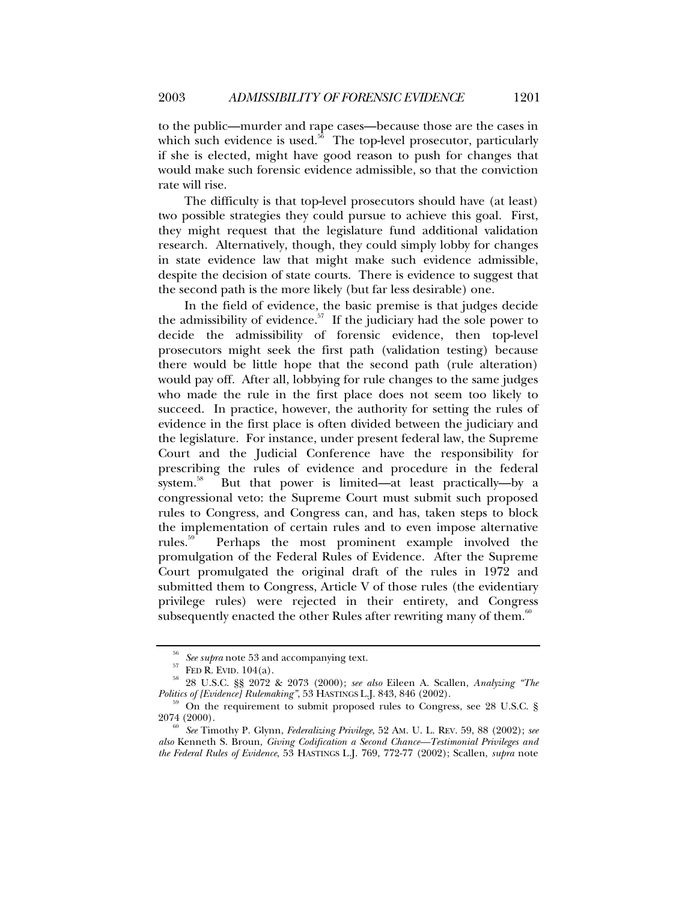to the public—murder and rape cases—because those are the cases in which such evidence is used. $56$  The top-level prosecutor, particularly if she is elected, might have good reason to push for changes that would make such forensic evidence admissible, so that the conviction rate will rise.

The difficulty is that top-level prosecutors should have (at least) two possible strategies they could pursue to achieve this goal. First, they might request that the legislature fund additional validation research. Alternatively, though, they could simply lobby for changes in state evidence law that might make such evidence admissible, despite the decision of state courts. There is evidence to suggest that the second path is the more likely (but far less desirable) one.

In the field of evidence, the basic premise is that judges decide the admissibility of evidence.<sup>57</sup> If the judiciary had the sole power to decide the admissibility of forensic evidence, then top-level prosecutors might seek the first path (validation testing) because there would be little hope that the second path (rule alteration) would pay off. After all, lobbying for rule changes to the same judges who made the rule in the first place does not seem too likely to succeed. In practice, however, the authority for setting the rules of evidence in the first place is often divided between the judiciary and the legislature. For instance, under present federal law, the Supreme Court and the Judicial Conference have the responsibility for prescribing the rules of evidence and procedure in the federal system.<sup>38</sup> But that power is limited—at least practically—by a congressional veto: the Supreme Court must submit such proposed rules to Congress, and Congress can, and has, taken steps to block the implementation of certain rules and to even impose alternative rules.59 Perhaps the most prominent example involved the promulgation of the Federal Rules of Evidence. After the Supreme Court promulgated the original draft of the rules in 1972 and submitted them to Congress, Article V of those rules (the evidentiary privilege rules) were rejected in their entirety, and Congress subsequently enacted the other Rules after rewriting many of them.<sup>60</sup>

<sup>&</sup>lt;sup>56</sup> See supra note 53 and accompanying text.<br><sup>57</sup> FED R. EVID. 104(a).<br><sup>58</sup> 28 U.S.C. §§ 2072 & 2073 (2000); *see also* Eileen A. Scallen, *Analyzing "The Politics of [Evidence] Rulemaking"*, 53 HASTINGS L.J. 843, 846 (20

<sup>&</sup>lt;sup>59</sup> On the requirement to submit proposed rules to Congress, see 28 U.S.C. § 2074 (2000).

<sup>2074 (2000). 60</sup> *See* Timothy P. Glynn, *Federalizing Privilege*, 52 AM. U. L. REV. 59, 88 (2002); *see also* Kenneth S. Broun, *Giving Codification a Second Chance—Testimonial Privileges and the Federal Rules of Evidence*, 53 HASTINGS L.J. 769, 772-77 (2002); Scallen, *supra* note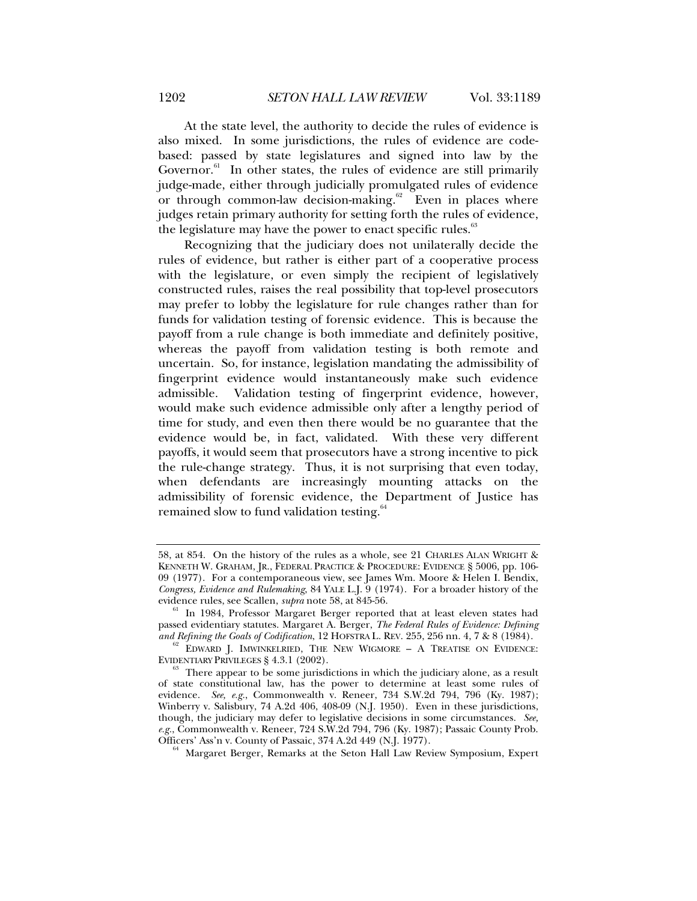At the state level, the authority to decide the rules of evidence is also mixed. In some jurisdictions, the rules of evidence are codebased: passed by state legislatures and signed into law by the Governor.<sup>61</sup> In other states, the rules of evidence are still primarily judge-made, either through judicially promulgated rules of evidence or through common-law decision-making. $62$  Even in places where judges retain primary authority for setting forth the rules of evidence, the legislature may have the power to enact specific rules.<sup>63</sup>

Recognizing that the judiciary does not unilaterally decide the rules of evidence, but rather is either part of a cooperative process with the legislature, or even simply the recipient of legislatively constructed rules, raises the real possibility that top-level prosecutors may prefer to lobby the legislature for rule changes rather than for funds for validation testing of forensic evidence. This is because the payoff from a rule change is both immediate and definitely positive, whereas the payoff from validation testing is both remote and uncertain. So, for instance, legislation mandating the admissibility of fingerprint evidence would instantaneously make such evidence admissible. Validation testing of fingerprint evidence, however, would make such evidence admissible only after a lengthy period of time for study, and even then there would be no guarantee that the evidence would be, in fact, validated. With these very different payoffs, it would seem that prosecutors have a strong incentive to pick the rule-change strategy. Thus, it is not surprising that even today, when defendants are increasingly mounting attacks on the admissibility of forensic evidence, the Department of Justice has remained slow to fund validation testing.<sup>64</sup>

<sup>58,</sup> at 854. On the history of the rules as a whole, see 21 CHARLES ALAN WRIGHT & KENNETH W. GRAHAM, JR., FEDERAL PRACTICE & PROCEDURE: EVIDENCE § 5006, pp. 106- 09 (1977). For a contemporaneous view, see James Wm. Moore & Helen I. Bendix, *Congress, Evidence and Rulemaking*, 84 YALE L.J. 9 (1974). For a broader history of the evidence rules, see Scallen, *supra* note 58, at 845-56.

In 1984, Professor Margaret Berger reported that at least eleven states had passed evidentiary statutes. Margaret A. Berger, *The Federal Rules of Evidence: Defining* 

<sup>&</sup>lt;sup>62</sup> EDWARD J. IMWINKELRIED, THE NEW WIGMORE – A TREATISE ON EVIDENCE: EVIDENTIARY PRIVILEGES § 4.3.1 (2002).

 $E<sup>63</sup>$  There appear to be some jurisdictions in which the judiciary alone, as a result of state constitutional law, has the power to determine at least some rules of evidence. *See, e.g.*, Commonwealth v. Reneer, 734 S.W.2d 794, 796 (Ky. 1987); Winberry v. Salisbury, 74 A.2d 406, 408-09 (N.J. 1950). Even in these jurisdictions, though, the judiciary may defer to legislative decisions in some circumstances. *See, e.g.*, Commonwealth v. Reneer, 724 S.W.2d 794, 796 (Ky. 1987); Passaic County Prob. Officers' Ass'n v. County of Passaic, 374 A.2d 449 (N.J. 1977).

<sup>&</sup>lt;sup>64</sup> Margaret Berger, Remarks at the Seton Hall Law Review Symposium, Expert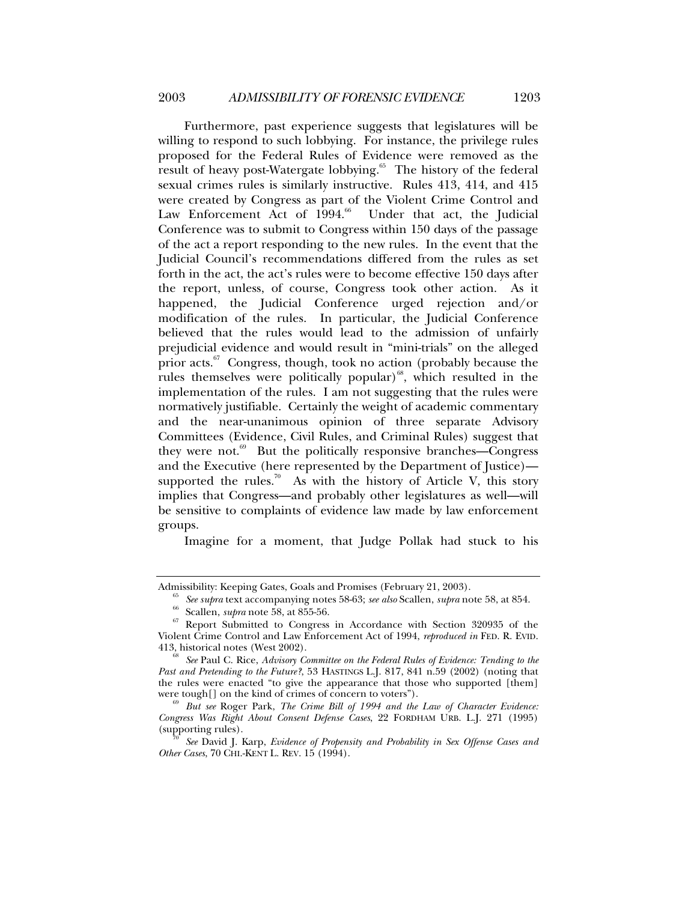Furthermore, past experience suggests that legislatures will be willing to respond to such lobbying. For instance, the privilege rules proposed for the Federal Rules of Evidence were removed as the result of heavy post-Watergate lobbying.<sup>65</sup> The history of the federal sexual crimes rules is similarly instructive. Rules 413, 414, and 415 were created by Congress as part of the Violent Crime Control and Law Enforcement Act of  $1994.^{66}$  Under that act, the Judicial Conference was to submit to Congress within 150 days of the passage of the act a report responding to the new rules. In the event that the Judicial Council's recommendations differed from the rules as set forth in the act, the act's rules were to become effective 150 days after the report, unless, of course, Congress took other action. As it happened, the Judicial Conference urged rejection and/or modification of the rules. In particular, the Judicial Conference believed that the rules would lead to the admission of unfairly prejudicial evidence and would result in "mini-trials" on the alleged prior acts. $67$  Congress, though, took no action (probably because the rules themselves were politically popular)<sup>68</sup>, which resulted in the implementation of the rules. I am not suggesting that the rules were normatively justifiable. Certainly the weight of academic commentary and the near-unanimous opinion of three separate Advisory Committees (Evidence, Civil Rules, and Criminal Rules) suggest that they were not. $69$  But the politically responsive branches—Congress and the Executive (here represented by the Department of Justice) supported the rules.<sup>70</sup> As with the history of Article V, this story implies that Congress—and probably other legislatures as well—will be sensitive to complaints of evidence law made by law enforcement groups.

Imagine for a moment, that Judge Pollak had stuck to his

Admissibility: Keeping Gates, Goals and Promises (February 21, 2003).<br>
<sup>65</sup> *See supra* text accompanying notes 58-63; *see also* Scallen, *supra* note 58, at 854.<br>
<sup>66</sup> Scallen, *supra* note 58, at 855-56.<br>
Report Submit Violent Crime Control and Law Enforcement Act of 1994, *reproduced in* FED. R. EVID.

<sup>413,</sup> historical notes (West 2002). 68 *See* Paul C. Rice, *Advisory Committee on the Federal Rules of Evidence: Tending to the Past and Pretending to the Future?*, 53 HASTINGS L.J. 817, 841 n.59 (2002) (noting that the rules were enacted "to give the appearance that those who supported [them] were tough[] on the kind of crimes of concern to voters").

<sup>&</sup>lt;sup>9</sup> But see Roger Park, *The Crime Bill of 1994 and the Law of Character Evidence: Congress Was Right About Consent Defense Cases*, 22 FORDHAM URB. L.J. 271 (1995) (supporting rules). 70 *See* David J. Karp, *Evidence of Propensity and Probability in Sex Offense Cases and* 

*Other Cases*, 70 CHI.-KENT L. REV. 15 (1994).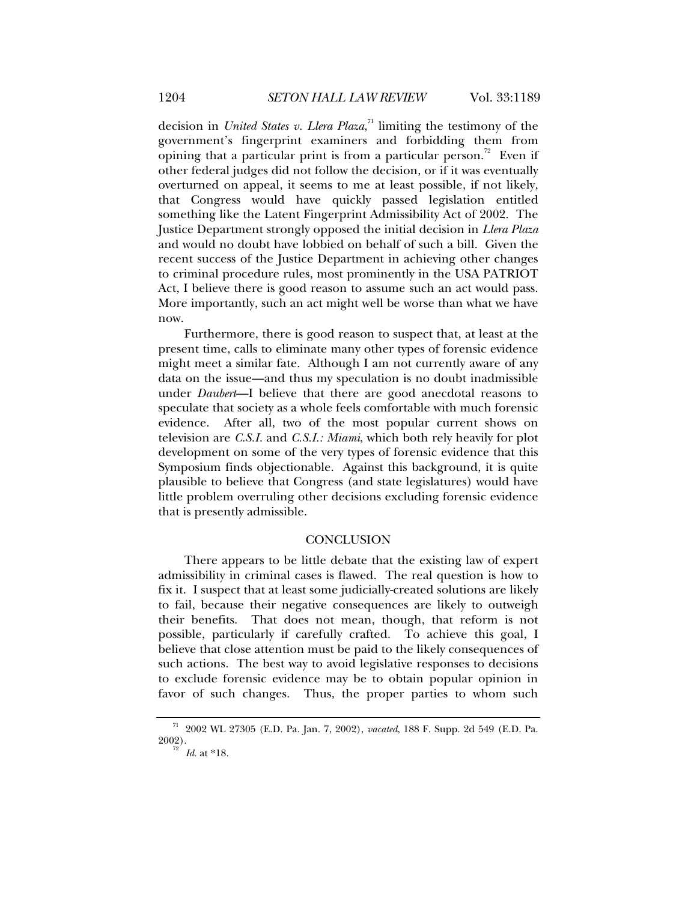decision in *United States v. Llera Plaza*, 71 limiting the testimony of the government's fingerprint examiners and forbidding them from opining that a particular print is from a particular person.<sup>72</sup> Even if other federal judges did not follow the decision, or if it was eventually overturned on appeal, it seems to me at least possible, if not likely, that Congress would have quickly passed legislation entitled something like the Latent Fingerprint Admissibility Act of 2002. The Justice Department strongly opposed the initial decision in *Llera Plaza* and would no doubt have lobbied on behalf of such a bill. Given the recent success of the Justice Department in achieving other changes to criminal procedure rules, most prominently in the USA PATRIOT Act, I believe there is good reason to assume such an act would pass. More importantly, such an act might well be worse than what we have now.

Furthermore, there is good reason to suspect that, at least at the present time, calls to eliminate many other types of forensic evidence might meet a similar fate. Although I am not currently aware of any data on the issue—and thus my speculation is no doubt inadmissible under *Daubert*—I believe that there are good anecdotal reasons to speculate that society as a whole feels comfortable with much forensic evidence. After all, two of the most popular current shows on television are *C.S.I.* and *C.S.I.: Miami*, which both rely heavily for plot development on some of the very types of forensic evidence that this Symposium finds objectionable. Against this background, it is quite plausible to believe that Congress (and state legislatures) would have little problem overruling other decisions excluding forensic evidence that is presently admissible.

#### **CONCLUSION**

There appears to be little debate that the existing law of expert admissibility in criminal cases is flawed. The real question is how to fix it. I suspect that at least some judicially-created solutions are likely to fail, because their negative consequences are likely to outweigh their benefits. That does not mean, though, that reform is not possible, particularly if carefully crafted. To achieve this goal, I believe that close attention must be paid to the likely consequences of such actions. The best way to avoid legislative responses to decisions to exclude forensic evidence may be to obtain popular opinion in favor of such changes. Thus, the proper parties to whom such

<sup>&</sup>lt;sup>71</sup> 2002 WL 27305 (E.D. Pa. Jan. 7, 2002), *vacated*, 188 F. Supp. 2d 549 (E.D. Pa. 2002).

*Id.* at \*18.